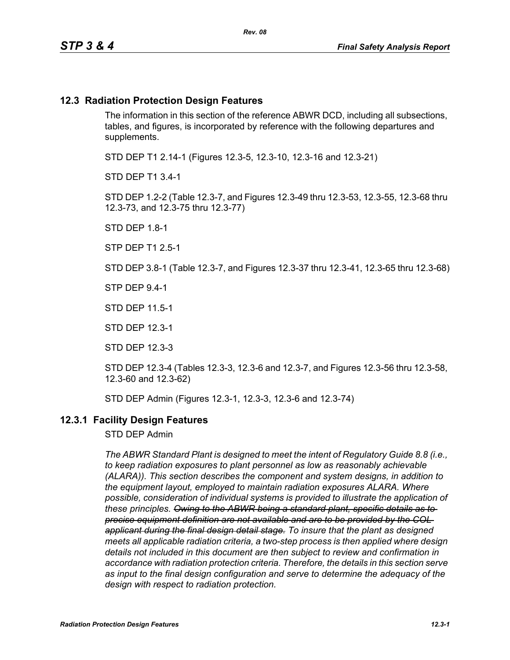#### **12.3 Radiation Protection Design Features**

The information in this section of the reference ABWR DCD, including all subsections, tables, and figures, is incorporated by reference with the following departures and supplements.

STD DEP T1 2.14-1 (Figures 12.3-5, 12.3-10, 12.3-16 and 12.3-21)

STD DEP T1 3.4-1

STD DEP 1.2-2 (Table 12.3-7, and Figures 12.3-49 thru 12.3-53, 12.3-55, 12.3-68 thru 12.3-73, and 12.3-75 thru 12.3-77)

STD DEP 1.8-1

STP DEP T1 2.5-1

STD DEP 3.8-1 (Table 12.3-7, and Figures 12.3-37 thru 12.3-41, 12.3-65 thru 12.3-68)

STP DEP 9.4-1

STD DEP 11.5-1

STD DEP 12.3-1

STD DEP 12.3-3

STD DEP 12.3-4 (Tables 12.3-3, 12.3-6 and 12.3-7, and Figures 12.3-56 thru 12.3-58, 12.3-60 and 12.3-62)

STD DEP Admin (Figures 12.3-1, 12.3-3, 12.3-6 and 12.3-74)

#### **12.3.1 Facility Design Features**

STD DEP Admin

*The ABWR Standard Plant is designed to meet the intent of Regulatory Guide 8.8 (i.e., to keep radiation exposures to plant personnel as low as reasonably achievable (ALARA)). This section describes the component and system designs, in addition to the equipment layout, employed to maintain radiation exposures ALARA. Where possible, consideration of individual systems is provided to illustrate the application of these principles. Owing to the ABWR being a standard plant, specific details as to precise equipment definition are not available and are to be provided by the COL applicant during the final design detail stage. To insure that the plant as designed meets all applicable radiation criteria, a two-step process is then applied where design details not included in this document are then subject to review and confirmation in accordance with radiation protection criteria. Therefore, the details in this section serve as input to the final design configuration and serve to determine the adequacy of the design with respect to radiation protection.*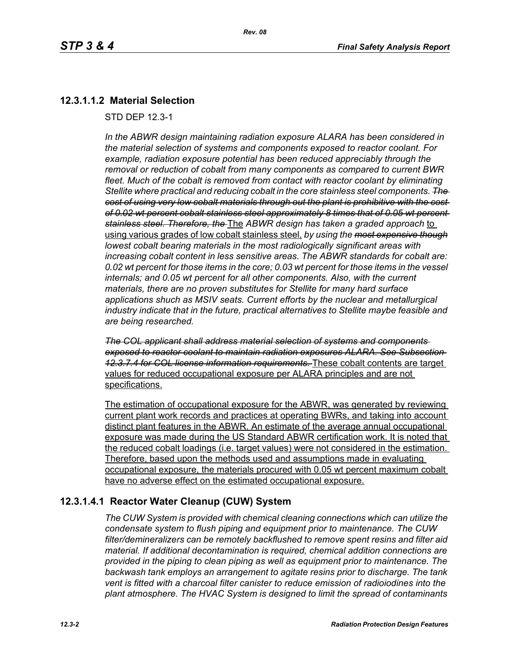## **12.3.1.1.2 Material Selection**

STD DEP 12.3-1

*In the ABWR design maintaining radiation exposure ALARA has been considered in the material selection of systems and components exposed to reactor coolant. For example, radiation exposure potential has been reduced appreciably through the removal or reduction of cobalt from many components as compared to current BWR fleet. Much of the cobalt is removed from contact with reactor coolant by eliminating Stellite where practical and reducing cobalt in the core stainless steel components. The cost of using very low cobalt materials through out the plant is prohibitive with the cost of 0.02 wt percent cobalt stainless steel approximately 8 times that of 0.05 wt percent stainless steel. Therefore, the* The *ABWR design has taken a graded approach* to using various grades of low cobalt stainless steel, *by using the most expensive though lowest cobalt bearing materials in the most radiologically significant areas with increasing cobalt content in less sensitive areas. The ABWR standards for cobalt are: 0.02 wt percent for those items in the core; 0.03 wt percent for those items in the vessel internals; and 0.05 wt percent for all other components. Also, with the current materials, there are no proven substitutes for Stellite for many hard surface applications shuch as MSIV seats. Current efforts by the nuclear and metallurgical industry indicate that in the future, practical alternatives to Stellite maybe feasible and are being researched.*

*The COL applicant shall address material selection of systems and components exposed to reactor coolant to maintain radiation exposures ALARA. See Subsection 12.3.7.4 for COL license information requirements.* These cobalt contents are target values for reduced occupational exposure per ALARA principles and are not specifications.

The estimation of occupational exposure for the ABWR, was generated by reviewing current plant work records and practices at operating BWRs, and taking into account distinct plant features in the ABWR. An estimate of the average annual occupational exposure was made during the US Standard ABWR certification work. It is noted that the reduced cobalt loadings (i.e. target values) were not considered in the estimation. Therefore, based upon the methods used and assumptions made in evaluating occupational exposure, the materials procured with 0.05 wt percent maximum cobalt have no adverse effect on the estimated occupational exposure.

### **12.3.1.4.1 Reactor Water Cleanup (CUW) System**

*The CUW System is provided with chemical cleaning connections which can utilize the condensate system to flush piping and equipment prior to maintenance. The CUW filter/demineralizers can be remotely backflushed to remove spent resins and filter aid material. If additional decontamination is required, chemical addition connections are provided in the piping to clean piping as well as equipment prior to maintenance. The backwash tank employs an arrangement to agitate resins prior to discharge. The tank vent is fitted with a charcoal filter canister to reduce emission of radioiodines into the plant atmosphere. The HVAC System is designed to limit the spread of contaminants*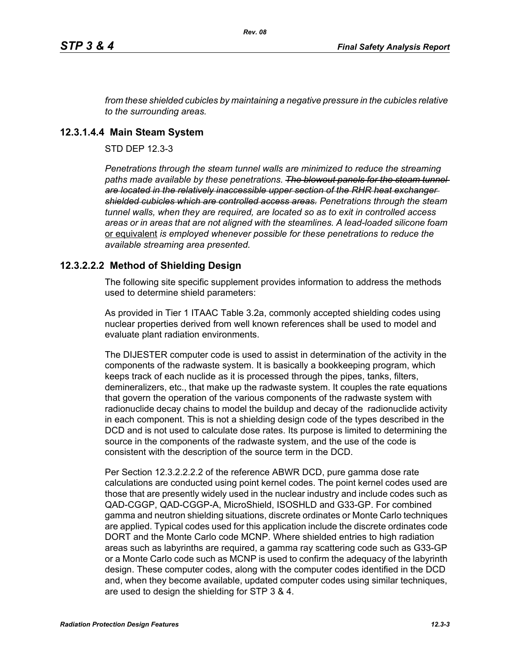*from these shielded cubicles by maintaining a negative pressure in the cubicles relative to the surrounding areas.*

#### **12.3.1.4.4 Main Steam System**

STD DEP 12.3-3

*Penetrations through the steam tunnel walls are minimized to reduce the streaming*  paths made available by these penetrations. The blowout panels for the steam tunnel*are located in the relatively inaccessible upper section of the RHR heat exchanger shielded cubicles which are controlled access areas. Penetrations through the steam tunnel walls, when they are required, are located so as to exit in controlled access areas or in areas that are not aligned with the steamlines. A lead-loaded silicone foam*  or equivalent *is employed whenever possible for these penetrations to reduce the available streaming area presented.*

### **12.3.2.2.2 Method of Shielding Design**

The following site specific supplement provides information to address the methods used to determine shield parameters:

As provided in Tier 1 ITAAC Table 3.2a, commonly accepted shielding codes using nuclear properties derived from well known references shall be used to model and evaluate plant radiation environments.

The DIJESTER computer code is used to assist in determination of the activity in the components of the radwaste system. It is basically a bookkeeping program, which keeps track of each nuclide as it is processed through the pipes, tanks, filters, demineralizers, etc., that make up the radwaste system. It couples the rate equations that govern the operation of the various components of the radwaste system with radionuclide decay chains to model the buildup and decay of the radionuclide activity in each component. This is not a shielding design code of the types described in the DCD and is not used to calculate dose rates. Its purpose is limited to determining the source in the components of the radwaste system, and the use of the code is consistent with the description of the source term in the DCD.

Per Section 12.3.2.2.2.2 of the reference ABWR DCD, pure gamma dose rate calculations are conducted using point kernel codes. The point kernel codes used are those that are presently widely used in the nuclear industry and include codes such as QAD-CGGP, QAD-CGGP-A, MicroShield, ISOSHLD and G33-GP. For combined gamma and neutron shielding situations, discrete ordinates or Monte Carlo techniques are applied. Typical codes used for this application include the discrete ordinates code DORT and the Monte Carlo code MCNP. Where shielded entries to high radiation areas such as labyrinths are required, a gamma ray scattering code such as G33-GP or a Monte Carlo code such as MCNP is used to confirm the adequacy of the labyrinth design. These computer codes, along with the computer codes identified in the DCD and, when they become available, updated computer codes using similar techniques, are used to design the shielding for STP 3 & 4.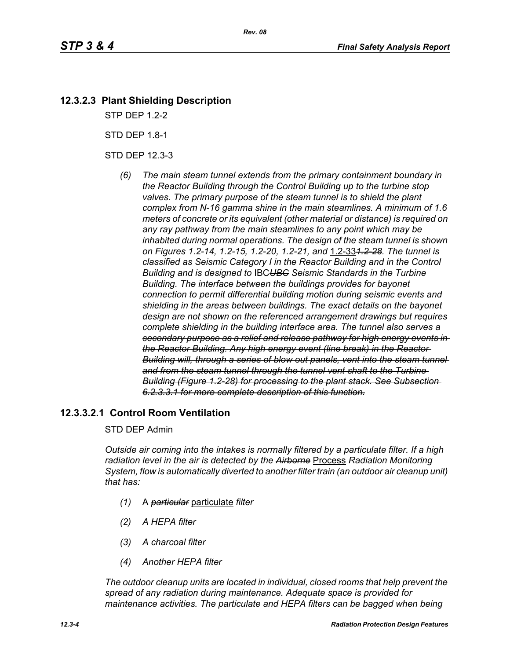## **12.3.2.3 Plant Shielding Description**

STP DEP 1.2-2

STD DEP 1.8-1

STD DEP 12.3-3

*(6) The main steam tunnel extends from the primary containment boundary in the Reactor Building through the Control Building up to the turbine stop valves. The primary purpose of the steam tunnel is to shield the plant complex from N-16 gamma shine in the main steamlines. A minimum of 1.6 meters of concrete or its equivalent (other material or distance) is required on any ray pathway from the main steamlines to any point which may be inhabited during normal operations. The design of the steam tunnel is shown on Figures 1.2-14, 1.2-15, 1.2-20, 1.2-21, and* 1.2-33*1.2-28. The tunnel is classified as Seismic Category I in the Reactor Building and in the Control Building and is designed to* IBC*UBC Seismic Standards in the Turbine Building. The interface between the buildings provides for bayonet connection to permit differential building motion during seismic events and shielding in the areas between buildings. The exact details on the bayonet design are not shown on the referenced arrangement drawings but requires complete shielding in the building interface area. The tunnel also serves a secondary purpose as a relief and release pathway for high energy events in the Reactor Building. Any high energy event (line break) in the Reactor Building will, through a series of blow out panels, vent into the steam tunnel and from the steam tunnel through the tunnel vent shaft to the Turbine Building (Figure 1.2-28) for processing to the plant stack. See Subsection 6.2.3.3.1 for more complete description of this function.*

### **12.3.3.2.1 Control Room Ventilation**

#### STD DEP Admin

*Outside air coming into the intakes is normally filtered by a particulate filter. If a high radiation level in the air is detected by the Airborne* Process *Radiation Monitoring System, flow is automatically diverted to another filter train (an outdoor air cleanup unit) that has:*

- *(1)* A *particular* particulate *filter*
- *(2) A HEPA filter*
- *(3) A charcoal filter*
- *(4) Another HEPA filter*

*The outdoor cleanup units are located in individual, closed rooms that help prevent the spread of any radiation during maintenance. Adequate space is provided for maintenance activities. The particulate and HEPA filters can be bagged when being*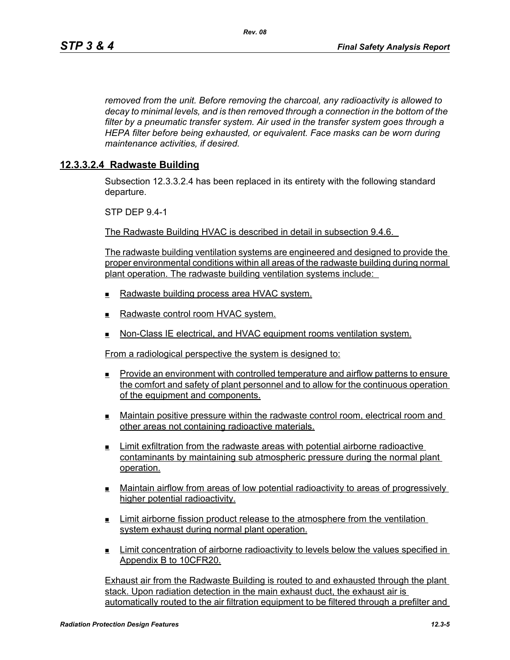*removed from the unit. Before removing the charcoal, any radioactivity is allowed to decay to minimal levels, and is then removed through a connection in the bottom of the filter by a pneumatic transfer system. Air used in the transfer system goes through a HEPA filter before being exhausted, or equivalent. Face masks can be worn during maintenance activities, if desired.*

#### **12.3.3.2.4 Radwaste Building**

Subsection 12.3.3.2.4 has been replaced in its entirety with the following standard departure.

STP DEP 9.4-1

The Radwaste Building HVAC is described in detail in subsection 9.4.6.

The radwaste building ventilation systems are engineered and designed to provide the proper environmental conditions within all areas of the radwaste building during normal plant operation. The radwaste building ventilation systems include:

- Radwaste building process area HVAC system.
- $\blacksquare$  Radwaste control room HVAC system.
- **Non-Class IE electrical, and HVAC equipment rooms ventilation system.**

From a radiological perspective the system is designed to:

- Provide an environment with controlled temperature and airflow patterns to ensure the comfort and safety of plant personnel and to allow for the continuous operation of the equipment and components.
- Maintain positive pressure within the radwaste control room, electrical room and other areas not containing radioactive materials.
- Limit exfiltration from the radwaste areas with potential airborne radioactive contaminants by maintaining sub atmospheric pressure during the normal plant operation.
- Maintain airflow from areas of low potential radioactivity to areas of progressively higher potential radioactivity.
- **Limit airborne fission product release to the atmosphere from the ventilation** system exhaust during normal plant operation.
- Limit concentration of airborne radioactivity to levels below the values specified in Appendix B to 10CFR20.

Exhaust air from the Radwaste Building is routed to and exhausted through the plant stack. Upon radiation detection in the main exhaust duct, the exhaust air is automatically routed to the air filtration equipment to be filtered through a prefilter and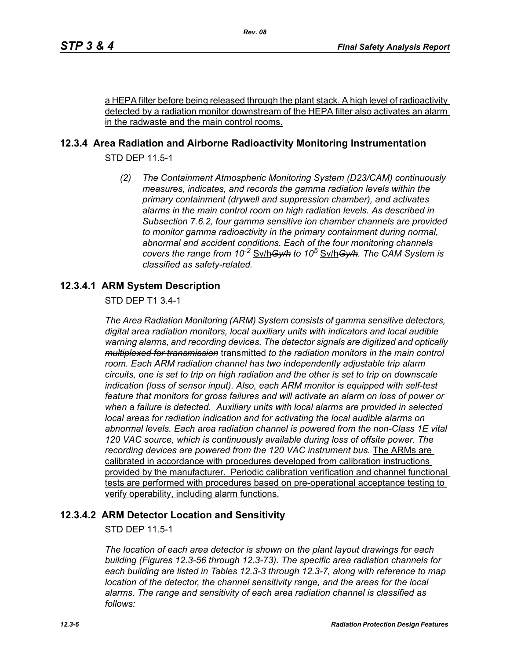a HEPA filter before being released through the plant stack. A high level of radioactivity detected by a radiation monitor downstream of the HEPA filter also activates an alarm in the radwaste and the main control rooms.

## **12.3.4 Area Radiation and Airborne Radioactivity Monitoring Instrumentation**

STD DEP 11.5-1

*(2) The Containment Atmospheric Monitoring System (D23/CAM) continuously measures, indicates, and records the gamma radiation levels within the primary containment (drywell and suppression chamber), and activates alarms in the main control room on high radiation levels. As described in Subsection 7.6.2, four gamma sensitive ion chamber channels are provided to monitor gamma radioactivity in the primary containment during normal, abnormal and accident conditions. Each of the four monitoring channels covers the range from 10-2* Sv/h*Gy/h to 10<sup>5</sup>* Sv/h*Gy/h. The CAM System is classified as safety-related.*

## **12.3.4.1 ARM System Description**

STD DEP T1 3.4-1

*The Area Radiation Monitoring (ARM) System consists of gamma sensitive detectors, digital area radiation monitors, local auxiliary units with indicators and local audible warning alarms, and recording devices. The detector signals are digitized and optically multiplexed for transmission* transmitted *to the radiation monitors in the main control room. Each ARM radiation channel has two independently adjustable trip alarm circuits, one is set to trip on high radiation and the other is set to trip on downscale indication (loss of sensor input). Also, each ARM monitor is equipped with self-test feature that monitors for gross failures and will activate an alarm on loss of power or when a failure is detected. Auxiliary units with local alarms are provided in selected local areas for radiation indication and for activating the local audible alarms on abnormal levels. Each area radiation channel is powered from the non-Class 1E vital 120 VAC source, which is continuously available during loss of offsite power. The recording devices are powered from the 120 VAC instrument bus.* The ARMs are calibrated in accordance with procedures developed from calibration instructions provided by the manufacturer. Periodic calibration verification and channel functional tests are performed with procedures based on pre-operational acceptance testing to verify operability, including alarm functions.

### **12.3.4.2 ARM Detector Location and Sensitivity**

STD DEP 11.5-1

*The location of each area detector is shown on the plant layout drawings for each building (Figures 12.3-56 through 12.3-73). The specific area radiation channels for each building are listed in Tables 12.3-3 through 12.3-7, along with reference to map location of the detector, the channel sensitivity range, and the areas for the local alarms. The range and sensitivity of each area radiation channel is classified as follows:*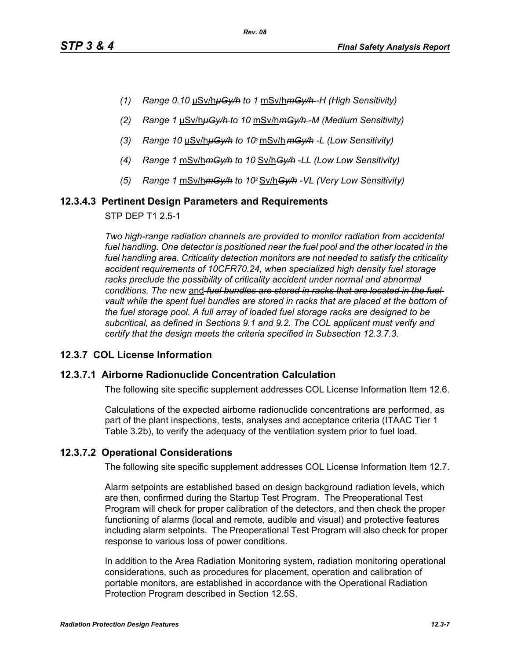- *(1) Range 0.10* μSv/h*μGy/h to 1* mSv/h*mGy/h -H (High Sensitivity)*
- *(2) Range 1* μSv/h*μGy/h to 10* mSv/h*mGy/h -M (Medium Sensitivity)*
- *(3) Range 10* μSv/h*μGy/h to 102* mSv/h *mGy/h -L (Low Sensitivity)*
- *(4) Range 1* mSv/h*mGy/h to 10* Sv/h*Gy/h* -*LL (Low Low Sensitivity)*
- *(5) Range 1* mSv/h*mGy/h to 102* Sv/h*Gy/h -VL (Very Low Sensitivity)*

#### **12.3.4.3 Pertinent Design Parameters and Requirements**

STP DEP T1 2.5-1

*Two high-range radiation channels are provided to monitor radiation from accidental*  fuel handling. One detector is positioned near the fuel pool and the other located in the *fuel handling area. Criticality detection monitors are not needed to satisfy the criticality accident requirements of 10CFR70.24, when specialized high density fuel storage*  racks preclude the possibility of criticality accident under normal and abnormal *conditions. The new* and *fuel bundles are stored in racks that are located in the fuel vault while the spent fuel bundles are stored in racks that are placed at the bottom of the fuel storage pool. A full array of loaded fuel storage racks are designed to be subcritical, as defined in Sections 9.1 and 9.2. The COL applicant must verify and certify that the design meets the criteria specified in Subsection 12.3.7.3.*

### **12.3.7 COL License Information**

#### **12.3.7.1 Airborne Radionuclide Concentration Calculation**

The following site specific supplement addresses COL License Information Item 12.6.

Calculations of the expected airborne radionuclide concentrations are performed, as part of the plant inspections, tests, analyses and acceptance criteria (ITAAC Tier 1 Table 3.2b), to verify the adequacy of the ventilation system prior to fuel load.

### **12.3.7.2 Operational Considerations**

The following site specific supplement addresses COL License Information Item 12.7.

Alarm setpoints are established based on design background radiation levels, which are then, confirmed during the Startup Test Program. The Preoperational Test Program will check for proper calibration of the detectors, and then check the proper functioning of alarms (local and remote, audible and visual) and protective features including alarm setpoints. The Preoperational Test Program will also check for proper response to various loss of power conditions.

In addition to the Area Radiation Monitoring system, radiation monitoring operational considerations, such as procedures for placement, operation and calibration of portable monitors, are established in accordance with the Operational Radiation Protection Program described in Section 12.5S.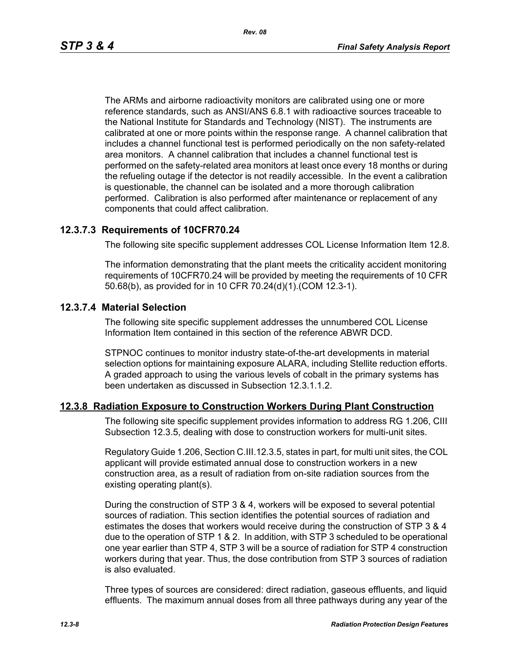The ARMs and airborne radioactivity monitors are calibrated using one or more reference standards, such as ANSI/ANS 6.8.1 with radioactive sources traceable to the National Institute for Standards and Technology (NIST). The instruments are calibrated at one or more points within the response range. A channel calibration that includes a channel functional test is performed periodically on the non safety-related area monitors. A channel calibration that includes a channel functional test is performed on the safety-related area monitors at least once every 18 months or during the refueling outage if the detector is not readily accessible. In the event a calibration is questionable, the channel can be isolated and a more thorough calibration performed. Calibration is also performed after maintenance or replacement of any components that could affect calibration.

#### **12.3.7.3 Requirements of 10CFR70.24**

The following site specific supplement addresses COL License Information Item 12.8.

The information demonstrating that the plant meets the criticality accident monitoring requirements of 10CFR70.24 will be provided by meeting the requirements of 10 CFR 50.68(b), as provided for in 10 CFR 70.24(d)(1).(COM 12.3-1).

#### **12.3.7.4 Material Selection**

The following site specific supplement addresses the unnumbered COL License Information Item contained in this section of the reference ABWR DCD.

STPNOC continues to monitor industry state-of-the-art developments in material selection options for maintaining exposure ALARA, including Stellite reduction efforts. A graded approach to using the various levels of cobalt in the primary systems has been undertaken as discussed in Subsection 12.3.1.1.2.

#### **12.3.8 Radiation Exposure to Construction Workers During Plant Construction**

The following site specific supplement provides information to address RG 1.206, CIII Subsection 12.3.5, dealing with dose to construction workers for multi-unit sites.

Regulatory Guide 1.206, Section C.III.12.3.5, states in part, for multi unit sites, the COL applicant will provide estimated annual dose to construction workers in a new construction area, as a result of radiation from on-site radiation sources from the existing operating plant(s).

During the construction of STP 3 & 4, workers will be exposed to several potential sources of radiation. This section identifies the potential sources of radiation and estimates the doses that workers would receive during the construction of STP 3 & 4 due to the operation of STP 1 & 2. In addition, with STP 3 scheduled to be operational one year earlier than STP 4, STP 3 will be a source of radiation for STP 4 construction workers during that year. Thus, the dose contribution from STP 3 sources of radiation is also evaluated.

Three types of sources are considered: direct radiation, gaseous effluents, and liquid effluents. The maximum annual doses from all three pathways during any year of the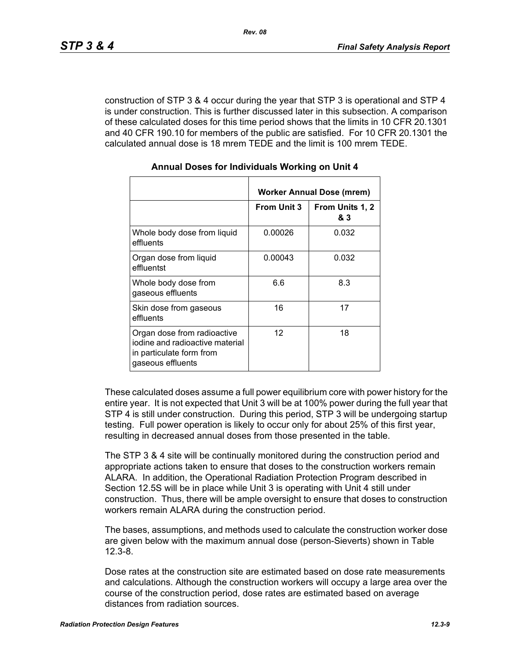construction of STP 3 & 4 occur during the year that STP 3 is operational and STP 4 is under construction. This is further discussed later in this subsection. A comparison of these calculated doses for this time period shows that the limits in 10 CFR 20.1301 and 40 CFR 190.10 for members of the public are satisfied. For 10 CFR 20.1301 the calculated annual dose is 18 mrem TEDE and the limit is 100 mrem TEDE.

|                                                                                                                 | Worker Annual Dose (mrem) |                        |  |
|-----------------------------------------------------------------------------------------------------------------|---------------------------|------------------------|--|
|                                                                                                                 | <b>From Unit 3</b>        | From Units 1, 2<br>& 3 |  |
| Whole body dose from liquid<br>effluents                                                                        | 0.00026                   | 0.032                  |  |
| Organ dose from liquid<br>effluentst                                                                            | 0.00043                   | 0.032                  |  |
| Whole body dose from<br>gaseous effluents                                                                       | 6.6                       | 8.3                    |  |
| Skin dose from gaseous<br>effluents                                                                             | 16                        | 17                     |  |
| Organ dose from radioactive<br>iodine and radioactive material<br>in particulate form from<br>gaseous effluents | $12 \overline{ }$         | 18                     |  |

#### **Annual Doses for Individuals Working on Unit 4**

These calculated doses assume a full power equilibrium core with power history for the entire year. It is not expected that Unit 3 will be at 100% power during the full year that STP 4 is still under construction. During this period, STP 3 will be undergoing startup testing. Full power operation is likely to occur only for about 25% of this first year, resulting in decreased annual doses from those presented in the table.

The STP 3 & 4 site will be continually monitored during the construction period and appropriate actions taken to ensure that doses to the construction workers remain ALARA. In addition, the Operational Radiation Protection Program described in Section 12.5S will be in place while Unit 3 is operating with Unit 4 still under construction. Thus, there will be ample oversight to ensure that doses to construction workers remain ALARA during the construction period.

The bases, assumptions, and methods used to calculate the construction worker dose are given below with the maximum annual dose (person-Sieverts) shown in Table 12.3-8.

Dose rates at the construction site are estimated based on dose rate measurements and calculations. Although the construction workers will occupy a large area over the course of the construction period, dose rates are estimated based on average distances from radiation sources.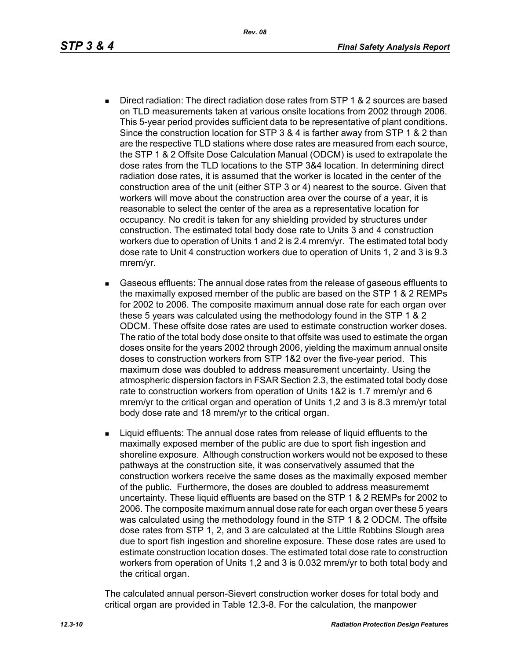- Direct radiation: The direct radiation dose rates from STP 1 & 2 sources are based on TLD measurements taken at various onsite locations from 2002 through 2006. This 5-year period provides sufficient data to be representative of plant conditions. Since the construction location for STP 3 & 4 is farther away from STP 1 & 2 than are the respective TLD stations where dose rates are measured from each source, the STP 1 & 2 Offsite Dose Calculation Manual (ODCM) is used to extrapolate the dose rates from the TLD locations to the STP 3&4 location. In determining direct radiation dose rates, it is assumed that the worker is located in the center of the construction area of the unit (either STP 3 or 4) nearest to the source. Given that workers will move about the construction area over the course of a year, it is reasonable to select the center of the area as a representative location for occupancy. No credit is taken for any shielding provided by structures under construction. The estimated total body dose rate to Units 3 and 4 construction workers due to operation of Units 1 and 2 is 2.4 mrem/yr. The estimated total body dose rate to Unit 4 construction workers due to operation of Units 1, 2 and 3 is 9.3 mrem/yr.
- Gaseous effluents: The annual dose rates from the release of gaseous effluents to the maximally exposed member of the public are based on the STP 1 & 2 REMPs for 2002 to 2006. The composite maximum annual dose rate for each organ over these 5 years was calculated using the methodology found in the STP 1 & 2 ODCM. These offsite dose rates are used to estimate construction worker doses. The ratio of the total body dose onsite to that offsite was used to estimate the organ doses onsite for the years 2002 through 2006, yielding the maximum annual onsite doses to construction workers from STP 1&2 over the five-year period. This maximum dose was doubled to address measurement uncertainty. Using the atmospheric dispersion factors in FSAR Section 2.3, the estimated total body dose rate to construction workers from operation of Units 1&2 is 1.7 mrem/yr and 6 mrem/yr to the critical organ and operation of Units 1,2 and 3 is 8.3 mrem/yr total body dose rate and 18 mrem/yr to the critical organ.
- **EXECT** Liquid effluents: The annual dose rates from release of liquid effluents to the maximally exposed member of the public are due to sport fish ingestion and shoreline exposure. Although construction workers would not be exposed to these pathways at the construction site, it was conservatively assumed that the construction workers receive the same doses as the maximally exposed member of the public. Furthermore, the doses are doubled to address measurememt uncertainty. These liquid effluents are based on the STP 1 & 2 REMPs for 2002 to 2006. The composite maximum annual dose rate for each organ over these 5 years was calculated using the methodology found in the STP 1 & 2 ODCM. The offsite dose rates from STP 1, 2, and 3 are calculated at the Little Robbins Slough area due to sport fish ingestion and shoreline exposure. These dose rates are used to estimate construction location doses. The estimated total dose rate to construction workers from operation of Units 1,2 and 3 is 0.032 mrem/yr to both total body and the critical organ.

The calculated annual person-Sievert construction worker doses for total body and critical organ are provided in Table 12.3-8. For the calculation, the manpower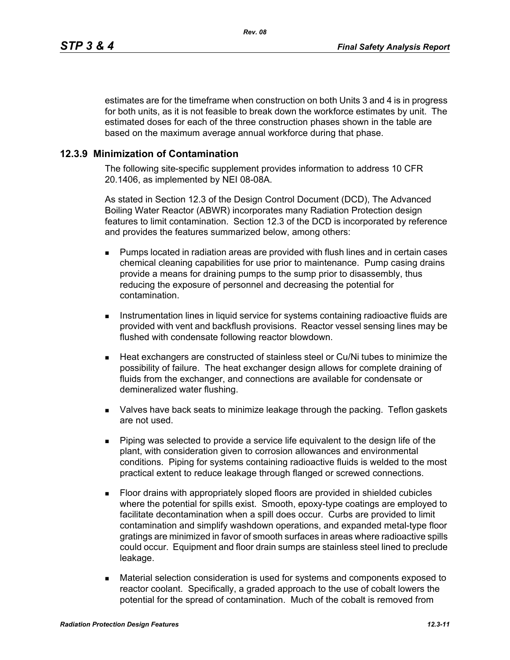estimates are for the timeframe when construction on both Units 3 and 4 is in progress for both units, as it is not feasible to break down the workforce estimates by unit. The estimated doses for each of the three construction phases shown in the table are based on the maximum average annual workforce during that phase.

#### **12.3.9 Minimization of Contamination**

The following site-specific supplement provides information to address 10 CFR 20.1406, as implemented by NEI 08-08A.

As stated in Section 12.3 of the Design Control Document (DCD), The Advanced Boiling Water Reactor (ABWR) incorporates many Radiation Protection design features to limit contamination. Section 12.3 of the DCD is incorporated by reference and provides the features summarized below, among others:

- **Pumps located in radiation areas are provided with flush lines and in certain cases** chemical cleaning capabilities for use prior to maintenance. Pump casing drains provide a means for draining pumps to the sump prior to disassembly, thus reducing the exposure of personnel and decreasing the potential for contamination.
- **Instrumentation lines in liquid service for systems containing radioactive fluids are** provided with vent and backflush provisions. Reactor vessel sensing lines may be flushed with condensate following reactor blowdown.
- Heat exchangers are constructed of stainless steel or Cu/Ni tubes to minimize the possibility of failure. The heat exchanger design allows for complete draining of fluids from the exchanger, and connections are available for condensate or demineralized water flushing.
- Valves have back seats to minimize leakage through the packing. Teflon gaskets are not used.
- Piping was selected to provide a service life equivalent to the design life of the plant, with consideration given to corrosion allowances and environmental conditions. Piping for systems containing radioactive fluids is welded to the most practical extent to reduce leakage through flanged or screwed connections.
- Floor drains with appropriately sloped floors are provided in shielded cubicles where the potential for spills exist. Smooth, epoxy-type coatings are employed to facilitate decontamination when a spill does occur. Curbs are provided to limit contamination and simplify washdown operations, and expanded metal-type floor gratings are minimized in favor of smooth surfaces in areas where radioactive spills could occur. Equipment and floor drain sumps are stainless steel lined to preclude leakage.
- Material selection consideration is used for systems and components exposed to reactor coolant. Specifically, a graded approach to the use of cobalt lowers the potential for the spread of contamination. Much of the cobalt is removed from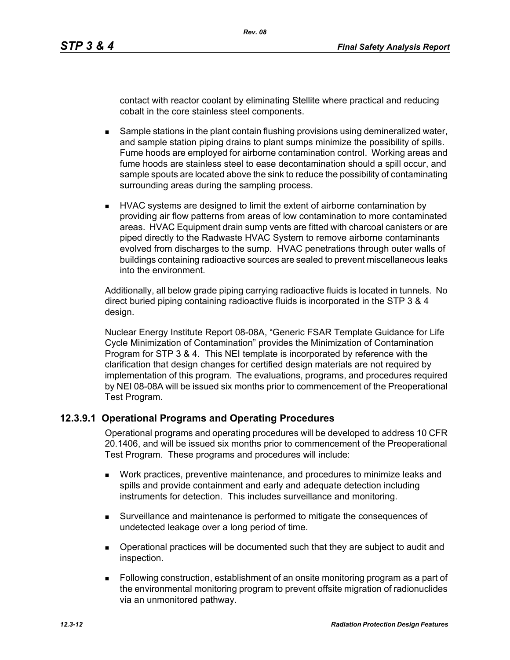contact with reactor coolant by eliminating Stellite where practical and reducing cobalt in the core stainless steel components.

- **Sample stations in the plant contain flushing provisions using demineralized water,** and sample station piping drains to plant sumps minimize the possibility of spills. Fume hoods are employed for airborne contamination control. Working areas and fume hoods are stainless steel to ease decontamination should a spill occur, and sample spouts are located above the sink to reduce the possibility of contaminating surrounding areas during the sampling process.
- **HVAC systems are designed to limit the extent of airborne contamination by** providing air flow patterns from areas of low contamination to more contaminated areas. HVAC Equipment drain sump vents are fitted with charcoal canisters or are piped directly to the Radwaste HVAC System to remove airborne contaminants evolved from discharges to the sump. HVAC penetrations through outer walls of buildings containing radioactive sources are sealed to prevent miscellaneous leaks into the environment.

Additionally, all below grade piping carrying radioactive fluids is located in tunnels. No direct buried piping containing radioactive fluids is incorporated in the STP 3 & 4 design.

Nuclear Energy Institute Report 08-08A, "Generic FSAR Template Guidance for Life Cycle Minimization of Contamination" provides the Minimization of Contamination Program for STP 3 & 4. This NEI template is incorporated by reference with the clarification that design changes for certified design materials are not required by implementation of this program. The evaluations, programs, and procedures required by NEI 08-08A will be issued six months prior to commencement of the Preoperational Test Program.

### **12.3.9.1 Operational Programs and Operating Procedures**

Operational programs and operating procedures will be developed to address 10 CFR 20.1406, and will be issued six months prior to commencement of the Preoperational Test Program. These programs and procedures will include:

- Work practices, preventive maintenance, and procedures to minimize leaks and spills and provide containment and early and adequate detection including instruments for detection. This includes surveillance and monitoring.
- Surveillance and maintenance is performed to mitigate the consequences of undetected leakage over a long period of time.
- Operational practices will be documented such that they are subject to audit and inspection.
- Following construction, establishment of an onsite monitoring program as a part of the environmental monitoring program to prevent offsite migration of radionuclides via an unmonitored pathway.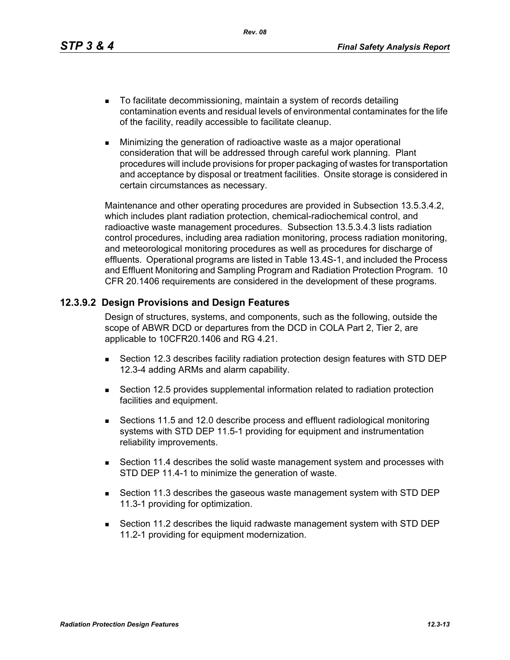*Rev. 08*

- To facilitate decommissioning, maintain a system of records detailing contamination events and residual levels of environmental contaminates for the life of the facility, readily accessible to facilitate cleanup.
- **Minimizing the generation of radioactive waste as a major operational** consideration that will be addressed through careful work planning. Plant procedures will include provisions for proper packaging of wastes for transportation and acceptance by disposal or treatment facilities. Onsite storage is considered in certain circumstances as necessary.

Maintenance and other operating procedures are provided in Subsection 13.5.3.4.2, which includes plant radiation protection, chemical-radiochemical control, and radioactive waste management procedures. Subsection 13.5.3.4.3 lists radiation control procedures, including area radiation monitoring, process radiation monitoring, and meteorological monitoring procedures as well as procedures for discharge of effluents. Operational programs are listed in Table 13.4S-1, and included the Process and Effluent Monitoring and Sampling Program and Radiation Protection Program. 10 CFR 20.1406 requirements are considered in the development of these programs.

### **12.3.9.2 Design Provisions and Design Features**

Design of structures, systems, and components, such as the following, outside the scope of ABWR DCD or departures from the DCD in COLA Part 2, Tier 2, are applicable to 10CFR20.1406 and RG 4.21.

- Section 12.3 describes facility radiation protection design features with STD DEP 12.3-4 adding ARMs and alarm capability.
- Section 12.5 provides supplemental information related to radiation protection facilities and equipment.
- Sections 11.5 and 12.0 describe process and effluent radiological monitoring systems with STD DEP 11.5-1 providing for equipment and instrumentation reliability improvements.
- Section 11.4 describes the solid waste management system and processes with STD DEP 11.4-1 to minimize the generation of waste.
- Section 11.3 describes the gaseous waste management system with STD DEP 11.3-1 providing for optimization.
- Section 11.2 describes the liquid radwaste management system with STD DEP 11.2-1 providing for equipment modernization.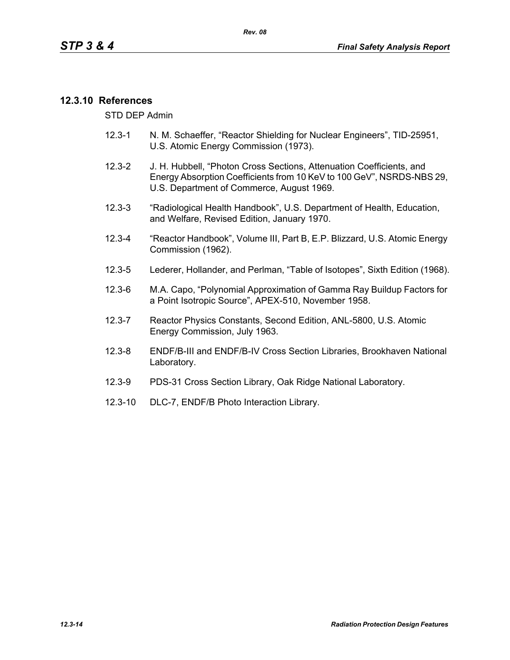#### **12.3.10 References**

STD DEP Admin

- 12.3-1 N. M. Schaeffer, "Reactor Shielding for Nuclear Engineers", TID-25951, U.S. Atomic Energy Commission (1973).
- 12.3-2 J. H. Hubbell, "Photon Cross Sections, Attenuation Coefficients, and Energy Absorption Coefficients from 10 KeV to 100 GeV", NSRDS-NBS 29, U.S. Department of Commerce, August 1969.
- 12.3-3 "Radiological Health Handbook", U.S. Department of Health, Education, and Welfare, Revised Edition, January 1970.
- 12.3-4 "Reactor Handbook", Volume III, Part B, E.P. Blizzard, U.S. Atomic Energy Commission (1962).
- 12.3-5 Lederer, Hollander, and Perlman, "Table of Isotopes", Sixth Edition (1968).
- 12.3-6 M.A. Capo, "Polynomial Approximation of Gamma Ray Buildup Factors for a Point Isotropic Source", APEX-510, November 1958.
- 12.3-7 Reactor Physics Constants, Second Edition, ANL-5800, U.S. Atomic Energy Commission, July 1963.
- 12.3-8 ENDF/B-III and ENDF/B-IV Cross Section Libraries, Brookhaven National Laboratory.
- 12.3-9 PDS-31 Cross Section Library, Oak Ridge National Laboratory.
- 12.3-10 DLC-7, ENDF/B Photo Interaction Library.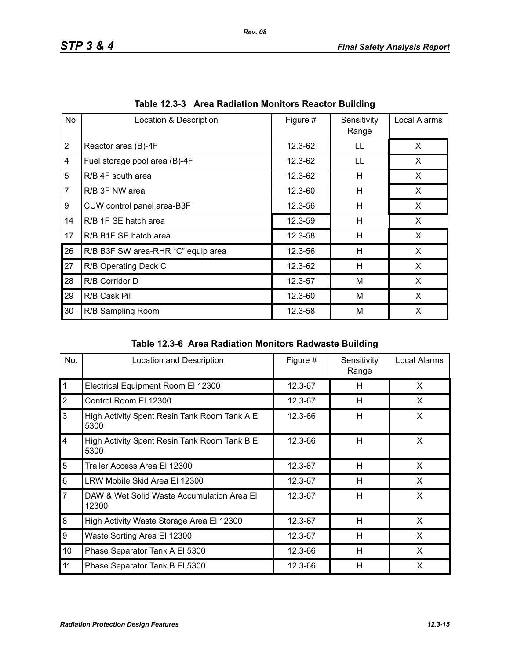| No.            | Location & Description             | Figure # | Sensitivity<br>Range | Local Alarms |
|----------------|------------------------------------|----------|----------------------|--------------|
| $\overline{2}$ | Reactor area (B)-4F                | 12.3-62  | LL                   | X            |
| 4              | Fuel storage pool area (B)-4F      | 12.3-62  | LL                   | X            |
| 5              | R/B 4F south area                  | 12.3-62  | н                    | X.           |
| $\overline{7}$ | R/B 3F NW area                     | 12.3-60  | H                    | X            |
| 9              | CUW control panel area-B3F         | 12.3-56  | H                    | X            |
| 14             | R/B 1F SE hatch area               | 12.3-59  | н                    | X            |
| 17             | R/B B1F SE hatch area              | 12.3-58  | H                    | X            |
| 26             | R/B B3F SW area-RHR "C" equip area | 12.3-56  | н                    | X            |
| 27             | R/B Operating Deck C               | 12.3-62  | н                    | X            |
| 28             | R/B Corridor D                     | 12.3-57  | M                    | X            |
| 29             | R/B Cask Pil                       | 12.3-60  | M                    | X            |
| 30             | R/B Sampling Room                  | 12.3-58  | M                    | X            |

|  | Table 12.3-3 Area Radiation Monitors Reactor Building |  |  |  |
|--|-------------------------------------------------------|--|--|--|
|--|-------------------------------------------------------|--|--|--|

|  | Table 12.3-6 Area Radiation Monitors Radwaste Building |  |  |  |
|--|--------------------------------------------------------|--|--|--|
|--|--------------------------------------------------------|--|--|--|

| No.                     | Location and Description                              | Figure # | Sensitivity<br>Range | Local Alarms |
|-------------------------|-------------------------------------------------------|----------|----------------------|--------------|
| $\mathbf{1}$            | Electrical Equipment Room El 12300                    | 12.3-67  | H                    | X            |
| $\overline{2}$          | Control Room El 12300                                 | 12.3-67  | H                    | X            |
| 3                       | High Activity Spent Resin Tank Room Tank A El<br>5300 | 12.3-66  | H                    | X            |
| $\overline{\mathbf{4}}$ | High Activity Spent Resin Tank Room Tank B El<br>5300 | 12.3-66  | H                    | X            |
| 5                       | Trailer Access Area El 12300                          | 12.3-67  | H                    | X            |
| 6                       | LRW Mobile Skid Area El 12300                         | 12.3-67  | H                    | X            |
| $\overline{7}$          | DAW & Wet Solid Waste Accumulation Area El<br>12300   | 12.3-67  | H                    | X            |
| 8                       | High Activity Waste Storage Area El 12300             | 12.3-67  | H                    | X            |
| 9                       | Waste Sorting Area El 12300                           | 12.3-67  | H                    | X            |
| 10                      | Phase Separator Tank A El 5300                        | 12.3-66  | H                    | X            |
| 11                      | Phase Separator Tank B El 5300                        | 12.3-66  | H                    | X            |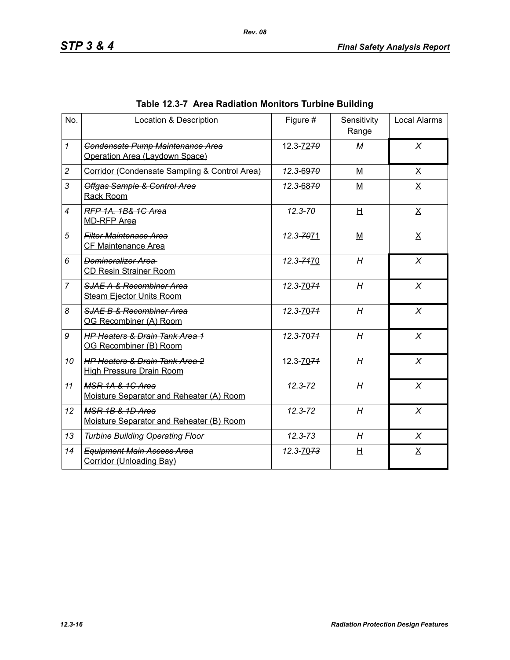| No.            | Location & Description                                                       | Figure #    | Sensitivity<br>Range | <b>Local Alarms</b> |
|----------------|------------------------------------------------------------------------------|-------------|----------------------|---------------------|
| $\mathbf{1}$   | Condensate Pump Maintenance Area<br>Operation Area (Laydown Space)           | 12.3-7270   | M                    | $\chi$              |
| $\overline{c}$ | Corridor (Condensate Sampling & Control Area)                                | 12.3-6970   | M                    | $\underline{X}$     |
| 3              | Offgas Sample & Control Area<br>Rack Room                                    | 12.3-6870   | M                    | $\underline{X}$     |
| $\overline{4}$ | RFP 1A, 1B& 1C Area<br><b>MD-RFP Area</b>                                    | $12.3 - 70$ | H                    | X                   |
| 5              | <b>Filter Maintenace Area</b><br>CF Maintenance Area                         | 12.3-7071   | $M$                  | $\underline{X}$     |
| 6              | Demineralizer Area<br><b>CD Resin Strainer Room</b>                          | 12.3-7470   | H                    | $\chi$              |
| $\overline{7}$ | <b>SJAE A &amp; Recombiner Area</b><br><b>Steam Ejector Units Room</b>       | 12.3-7074   | H                    | X                   |
| 8              | SJAE B & Recombiner Area<br>OG Recombiner (A) Room                           | 12.3-7074   | H                    | $\chi$              |
| 9              | <b>HP Heaters &amp; Drain Tank Area 1</b><br>OG Recombiner (B) Room          | 12.3-7074   | H                    | $\chi$              |
| 10             | <b>HP Heaters &amp; Drain Tank Area 2</b><br><b>High Pressure Drain Room</b> | 12.3-7074   | H                    | $\chi$              |
| 11             | MSR 1A & 1C Area<br>Moisture Separator and Reheater (A) Room                 | $12.3 - 72$ | H                    | X                   |
| 12             | MSR 1B & 1D Area<br>Moisture Separator and Reheater (B) Room                 | $12.3 - 72$ | H                    | X                   |
| 13             | <b>Turbine Building Operating Floor</b>                                      | $12.3 - 73$ | H                    | X                   |
| 14             | <b>Equipment Main Access Area</b><br>Corridor (Unloading Bay)                | 12.3-7073   | 旦                    | $\underline{X}$     |

# **Table 12.3-7 Area Radiation Monitors Turbine Building**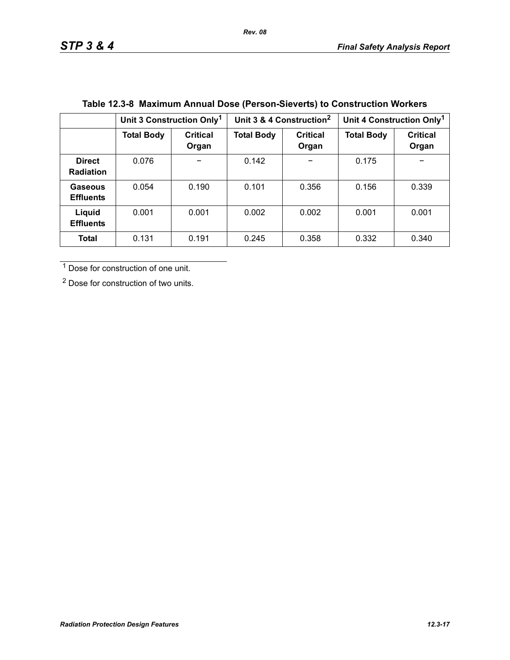|                                   | Unit 3 Construction Only <sup>1</sup> |                          | Unit 3 & 4 Construction <sup>2</sup> |                          | Unit 4 Construction Only <sup>1</sup> |                          |
|-----------------------------------|---------------------------------------|--------------------------|--------------------------------------|--------------------------|---------------------------------------|--------------------------|
|                                   | <b>Total Body</b>                     | <b>Critical</b><br>Organ | <b>Total Body</b>                    | <b>Critical</b><br>Organ | <b>Total Body</b>                     | <b>Critical</b><br>Organ |
| <b>Direct</b><br><b>Radiation</b> | 0.076                                 |                          | 0.142                                |                          | 0.175                                 |                          |
| Gaseous<br><b>Effluents</b>       | 0.054                                 | 0.190                    | 0.101                                | 0.356                    | 0.156                                 | 0.339                    |
| Liquid<br><b>Effluents</b>        | 0.001                                 | 0.001                    | 0.002                                | 0.002                    | 0.001                                 | 0.001                    |
| <b>Total</b>                      | 0.131                                 | 0.191                    | 0.245                                | 0.358                    | 0.332                                 | 0.340                    |

# **Table 12.3-8 Maximum Annual Dose (Person-Sieverts) to Construction Workers**

1 Dose for construction of one unit.

2 Dose for construction of two units.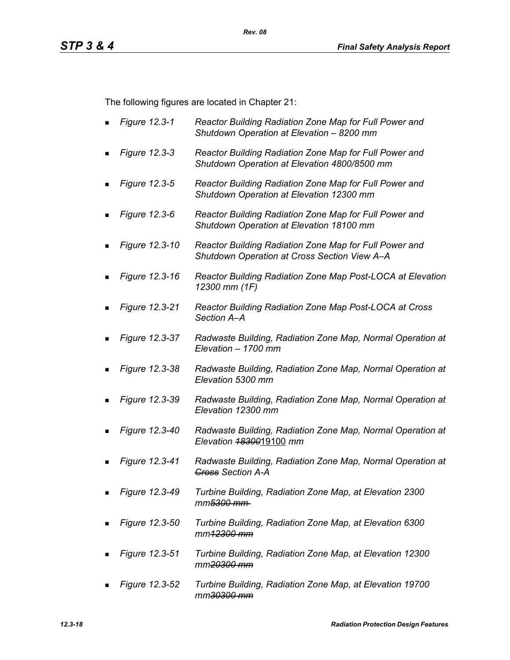The following figures are located in Chapter 21:

- *Figure 12.3-1 Reactor Building Radiation Zone Map for Full Power and Shutdown Operation at Elevation – 8200 mm*
- *Figure 12.3-3 Reactor Building Radiation Zone Map for Full Power and Shutdown Operation at Elevation 4800/8500 mm*
- *Figure 12.3-5 Reactor Building Radiation Zone Map for Full Power and Shutdown Operation at Elevation 12300 mm*
- *Figure 12.3-6 Reactor Building Radiation Zone Map for Full Power and Shutdown Operation at Elevation 18100 mm*
- *Figure 12.3-10 Reactor Building Radiation Zone Map for Full Power and Shutdown Operation at Cross Section View A–A*
- *Figure 12.3-16 Reactor Building Radiation Zone Map Post-LOCA at Elevation 12300 mm (1F)*
- *Figure 12.3-21 Reactor Building Radiation Zone Map Post-LOCA at Cross Section A–A*
- *Figure 12.3-37 Radwaste Building, Radiation Zone Map, Normal Operation at Elevation – 1700 mm*
- *Figure 12.3-38 Radwaste Building, Radiation Zone Map, Normal Operation at Elevation 5300 mm*
- *Figure 12.3-39 Radwaste Building, Radiation Zone Map, Normal Operation at Elevation 12300 mm*
- *Figure 12.3-40 Radwaste Building, Radiation Zone Map, Normal Operation at Elevation 18300*19100 *mm*
- *Figure 12.3-41 Radwaste Building, Radiation Zone Map, Normal Operation at Cross Section A-A*
- *Figure 12.3-49 Turbine Building, Radiation Zone Map, at Elevation 2300 mm5300 mm*
- *Figure 12.3-50 Turbine Building, Radiation Zone Map, at Elevation 6300 mm12300 mm*
- *Figure 12.3-51 Turbine Building, Radiation Zone Map, at Elevation 12300 mm20300 mm*
- *Figure 12.3-52 Turbine Building, Radiation Zone Map, at Elevation 19700 mm30300 mm*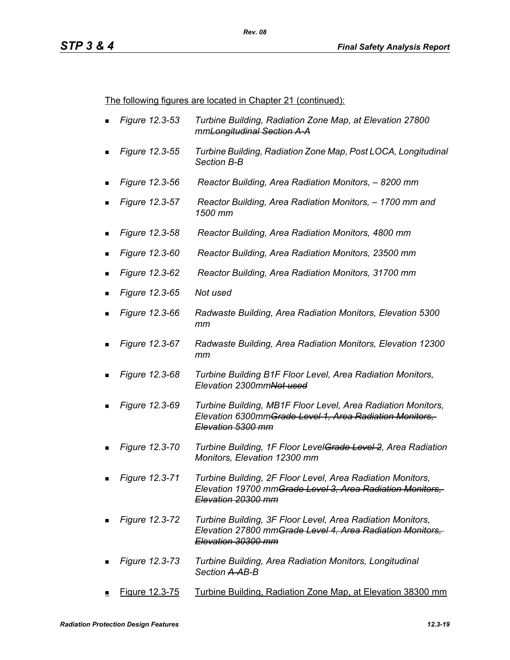The following figures are located in Chapter 21 (continued):

- *Figure 12.3-53 Turbine Building, Radiation Zone Map, at Elevation 27800 mmLongitudinal Section A-A*
- *Figure 12.3-55 Turbine Building, Radiation Zone Map, Post LOCA, Longitudinal Section B-B*
- *Figure 12.3-56 Reactor Building, Area Radiation Monitors, 8200 mm*
- *Figure 12.3-57 Reactor Building, Area Radiation Monitors, 1700 mm and 1500 mm*
- *Figure 12.3-58 Reactor Building, Area Radiation Monitors, 4800 mm*
- *Figure 12.3-60 Reactor Building, Area Radiation Monitors, 23500 mm*
- *Figure 12.3-62 Reactor Building, Area Radiation Monitors, 31700 mm*
- *Figure 12.3-65 Not used*
- *Figure 12.3-66 Radwaste Building, Area Radiation Monitors, Elevation 5300 mm*
- *Figure 12.3-67 Radwaste Building, Area Radiation Monitors, Elevation 12300 mm*
- *Figure 12.3-68 Turbine Building B1F Floor Level, Area Radiation Monitors, Elevation 2300mmNot used*
- *Figure 12.3-69 Turbine Building, MB1F Floor Level, Area Radiation Monitors, Elevation 6300mmGrade Level 1, Area Radiation Monitors, Elevation 5300 mm*
- *Figure 12.3-70 Turbine Building, 1F Floor LevelGrade Level 2, Area Radiation Monitors, Elevation 12300 mm*
- *Figure 12.3-71 Turbine Building, 2F Floor Level, Area Radiation Monitors, Elevation 19700 mmGrade Level 3, Area Radiation Monitors, Elevation 20300 mm*
- *Figure 12.3-72 Turbine Building, 3F Floor Level, Area Radiation Monitors, Elevation 27800 mmGrade Level 4, Area Radiation Monitors, Elevation 30300 mm*
- *Figure 12.3-73 Turbine Building, Area Radiation Monitors, Longitudinal Section A-AB-B*
- Figure 12.3-75 Turbine Building, Radiation Zone Map, at Elevation 38300 mm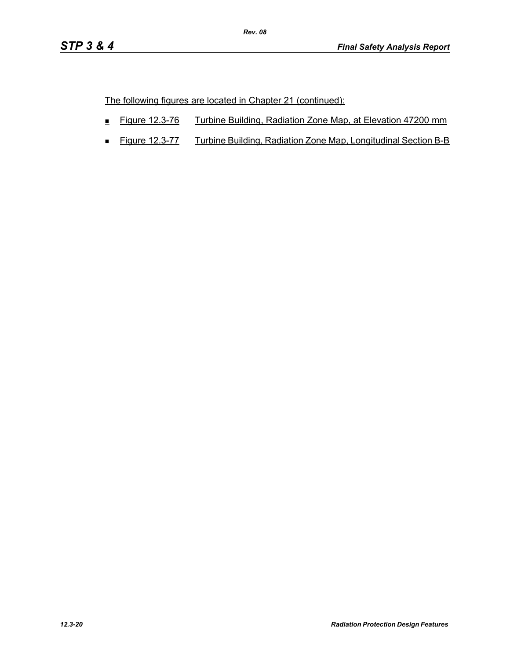The following figures are located in Chapter 21 (continued):

- Figure 12.3-76 Turbine Building, Radiation Zone Map, at Elevation 47200 mm
- **Figure 12.3-77** Turbine Building, Radiation Zone Map, Longitudinal Section B-B